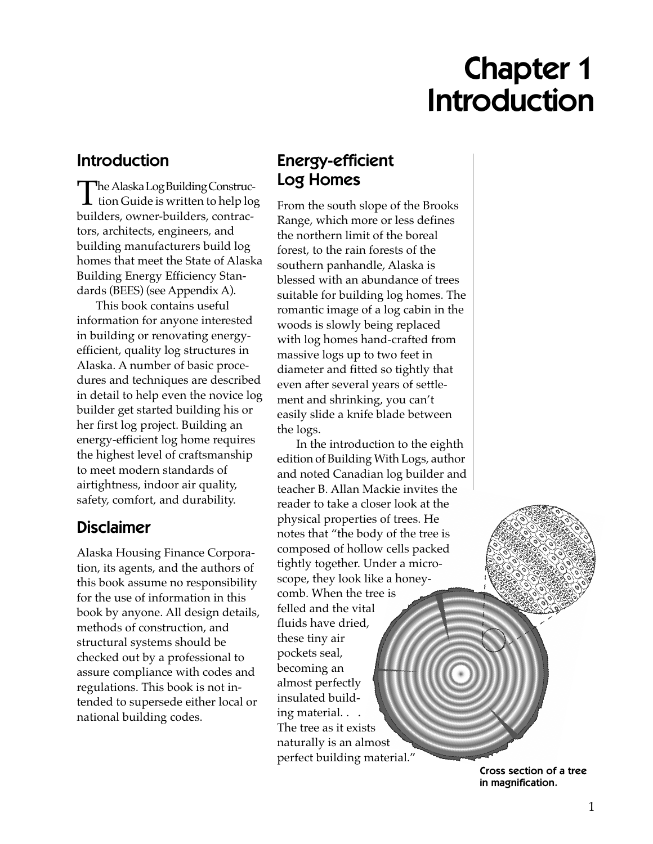# Chapter 1 Introduction

## Introduction

The *Alaska Log Building Construction Guide* is written to help log builders, owner-builders, contractors, architects, engineers, and building manufacturers build log homes that meet the State of Alaska Building Energy Efficiency Standards (BEES) (see Appendix A).

This book contains useful information for anyone interested in building or renovating energyefficient, quality log structures in Alaska. A number of basic procedures and techniques are described in detail to help even the novice log builder get started building his or her first log project. Building an energy-efficient log home requires the highest level of craftsmanship to meet modern standards of airtightness, indoor air quality, safety, comfort, and durability.

# Disclaimer

Alaska Housing Finance Corporation, its agents, and the authors of this book assume no responsibility for the use of information in this book by anyone. All design details, methods of construction, and structural systems should be checked out by a professional to assure compliance with codes and regulations. This book is not intended to supersede either local or national building codes.

# Energy-efficient Log Homes

From the south slope of the Brooks Range, which more or less defines the northern limit of the boreal forest, to the rain forests of the southern panhandle, Alaska is blessed with an abundance of trees suitable for building log homes. The romantic image of a log cabin in the woods is slowly being replaced with log homes hand-crafted from massive logs up to two feet in diameter and fitted so tightly that even after several years of settlement and shrinking, you can't easily slide a knife blade between the logs.

In the introduction to the eighth edition of *Building With Logs,* author and noted Canadian log builder and teacher B. Allan Mackie invites the reader to take a closer look at the physical properties of trees. He notes that "the body of the tree is composed of hollow cells packed tightly together. Under a microscope, they look like a honeycomb. When the tree is felled and the vital fluids have dried, these tiny air pockets seal, becoming an almost perfectly insulated building material. . . The tree as it exists naturally is an almost perfect building material."

> Cross section of a tree in magnification.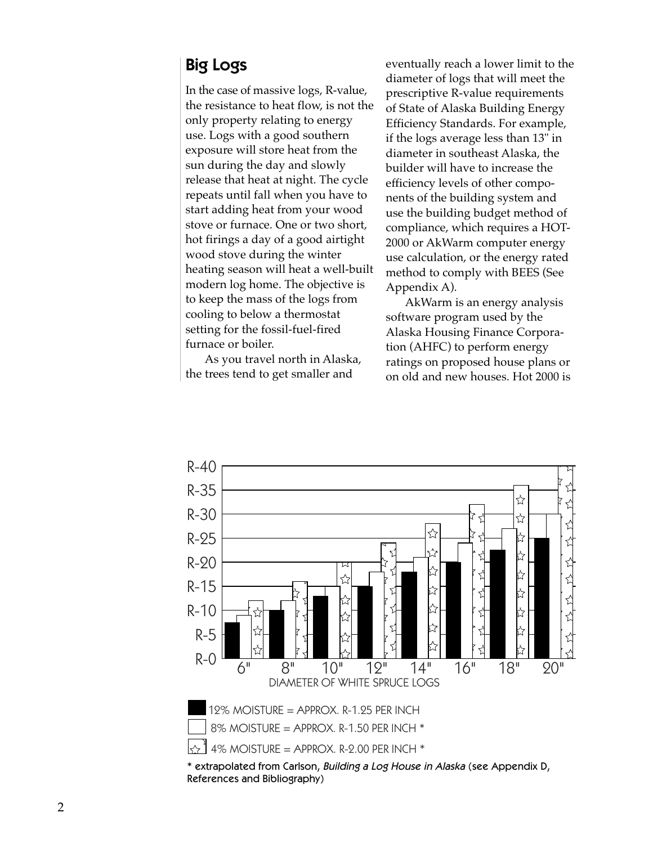### Big Logs

In the case of massive logs, R-value, the resistance to heat flow, is not the only property relating to energy use. Logs with a good southern exposure will store heat from the sun during the day and slowly release that heat at night. The cycle repeats until fall when you have to start adding heat from your wood stove or furnace. One or two short, hot firings a day of a good airtight wood stove during the winter heating season will heat a well-built modern log home. The objective is to keep the mass of the logs from cooling to below a thermostat setting for the fossil-fuel-fired furnace or boiler.

As you travel north in Alaska, the trees tend to get smaller and

eventually reach a lower limit to the diameter of logs that will meet the prescriptive R-value requirements of State of Alaska Building Energy Efficiency Standards. For example, if the logs average less than 13" in diameter in southeast Alaska, the builder will have to increase the efficiency levels of other components of the building system and use the building budget method of compliance, which requires a HOT-2000 or AkWarm computer energy use calculation, or the energy rated method to comply with BEES (See Appendix A).

AkWarm is an energy analysis software program used by the Alaska Housing Finance Corporation (AHFC) to perform energy ratings on proposed house plans or on old and new houses. Hot 2000 is